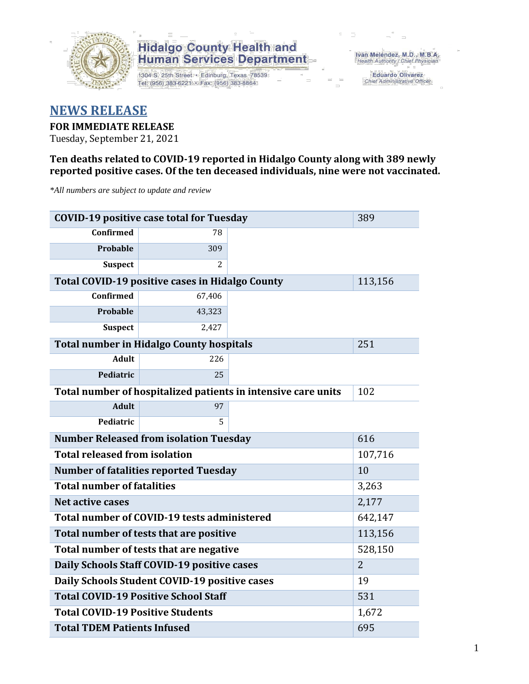

1304 S. 25th Street · Edinburg, Texas 78539 Tel: (956) 383-6221 · Fax: (956) 383-8864

Iván Meléndez, M.D., M.B.A. Health Authority / Chief Physician

> **Eduardo Olivarez** Chief Administrative Officer

#### **NEWS RELEASE**

#### **FOR IMMEDIATE RELEASE**

Tuesday, September 21, 2021

#### **Ten deaths related to COVID-19 reported in Hidalgo County along with 389 newly reported positive cases. Of the ten deceased individuals, nine were not vaccinated.**

*\*All numbers are subject to update and review*

| <b>COVID-19 positive case total for Tuesday</b> | 389                                             |                                                               |         |  |  |  |
|-------------------------------------------------|-------------------------------------------------|---------------------------------------------------------------|---------|--|--|--|
| <b>Confirmed</b>                                | 78                                              |                                                               |         |  |  |  |
| <b>Probable</b>                                 | 309                                             |                                                               |         |  |  |  |
| <b>Suspect</b>                                  | 2                                               |                                                               |         |  |  |  |
|                                                 | Total COVID-19 positive cases in Hidalgo County |                                                               | 113,156 |  |  |  |
| <b>Confirmed</b>                                | 67,406                                          |                                                               |         |  |  |  |
| Probable                                        | 43,323                                          |                                                               |         |  |  |  |
| <b>Suspect</b>                                  | 2,427                                           |                                                               |         |  |  |  |
| <b>Total number in Hidalgo County hospitals</b> |                                                 | 251                                                           |         |  |  |  |
| <b>Adult</b>                                    | 226                                             |                                                               |         |  |  |  |
| Pediatric                                       | 25                                              |                                                               |         |  |  |  |
|                                                 |                                                 | Total number of hospitalized patients in intensive care units | 102     |  |  |  |
| <b>Adult</b>                                    | 97                                              |                                                               |         |  |  |  |
| Pediatric                                       | 5                                               |                                                               |         |  |  |  |
| <b>Number Released from isolation Tuesday</b>   | 616                                             |                                                               |         |  |  |  |
| <b>Total released from isolation</b><br>107,716 |                                                 |                                                               |         |  |  |  |
| <b>Number of fatalities reported Tuesday</b>    | 10                                              |                                                               |         |  |  |  |
| <b>Total number of fatalities</b>               |                                                 | 3,263                                                         |         |  |  |  |
| <b>Net active cases</b>                         |                                                 |                                                               | 2,177   |  |  |  |
|                                                 | Total number of COVID-19 tests administered     |                                                               | 642,147 |  |  |  |
| Total number of tests that are positive         |                                                 | 113,156                                                       |         |  |  |  |
| Total number of tests that are negative         | 528,150                                         |                                                               |         |  |  |  |
| Daily Schools Staff COVID-19 positive cases     | $\overline{2}$                                  |                                                               |         |  |  |  |
|                                                 | Daily Schools Student COVID-19 positive cases   |                                                               | 19      |  |  |  |
| <b>Total COVID-19 Positive School Staff</b>     |                                                 | 531                                                           |         |  |  |  |
| <b>Total COVID-19 Positive Students</b>         |                                                 |                                                               | 1,672   |  |  |  |
| <b>Total TDEM Patients Infused</b>              | 695                                             |                                                               |         |  |  |  |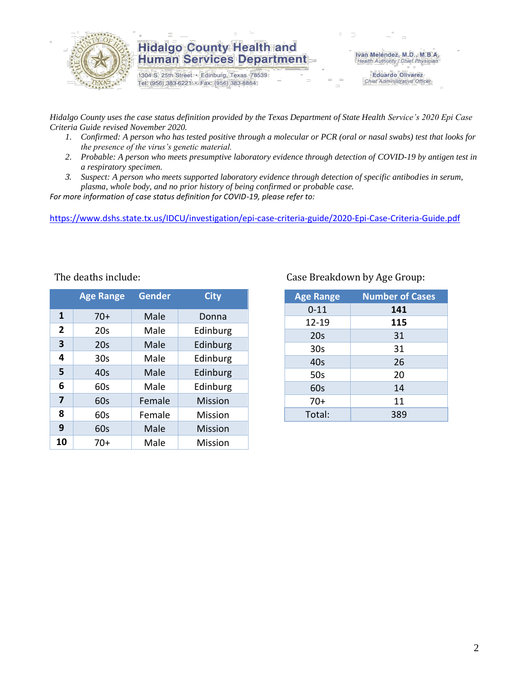

1304 S. 25th Street · Edinburg, Texas 78539 Tel: (956) 383-6221 · Fax: (956) 383-8864

Iván Meléndez, M.D., M.B.A. Health Authority / Chief Physician

> **Eduardo Olivarez** Chief Administrative Officer

*Hidalgo County uses the case status definition provided by the Texas Department of State Health Service's 2020 Epi Case Criteria Guide revised November 2020.*

- *1. Confirmed: A person who has tested positive through a molecular or PCR (oral or nasal swabs) test that looks for the presence of the virus's genetic material.*
- *2. Probable: A person who meets presumptive laboratory evidence through detection of COVID-19 by antigen test in a respiratory specimen.*
- *3. Suspect: A person who meets supported laboratory evidence through detection of specific antibodies in serum, plasma, whole body, and no prior history of being confirmed or probable case.*

*For more information of case status definition for COVID-19, please refer to:*

<https://www.dshs.state.tx.us/IDCU/investigation/epi-case-criteria-guide/2020-Epi-Case-Criteria-Guide.pdf>

|                | <b>Age Range</b> | <b>Gender</b> | <b>City</b>    |
|----------------|------------------|---------------|----------------|
| 1              | $70+$            | Male          | Donna          |
| $\overline{2}$ | 20s              | Male          | Edinburg       |
| 3              | 20s              | Edinburg      |                |
| 4              | 30 <sub>S</sub>  | Male          | Edinburg       |
| 5              | 40s              | Male          | Edinburg       |
| 6              | 60s              | Male          | Edinburg       |
| 7              | 60s              | Female        | <b>Mission</b> |
| 8              | 60s              | Female        | Mission        |
| 9              | 60s              | Male          | <b>Mission</b> |
| 10             | 70+              | Male          | Mission        |

#### The deaths include: The deaths include: Case Breakdown by Age Group:

| <b>Age Range</b> | <b>Number of Cases</b> |
|------------------|------------------------|
| $0 - 11$         | 141                    |
| 12-19            | 115                    |
| 20s              | 31                     |
| 30 <sub>s</sub>  | 31                     |
| 40s              | 26                     |
| 50s              | 20                     |
| 60s              | 14                     |
| $70+$            | 11                     |
| Total:           | 389                    |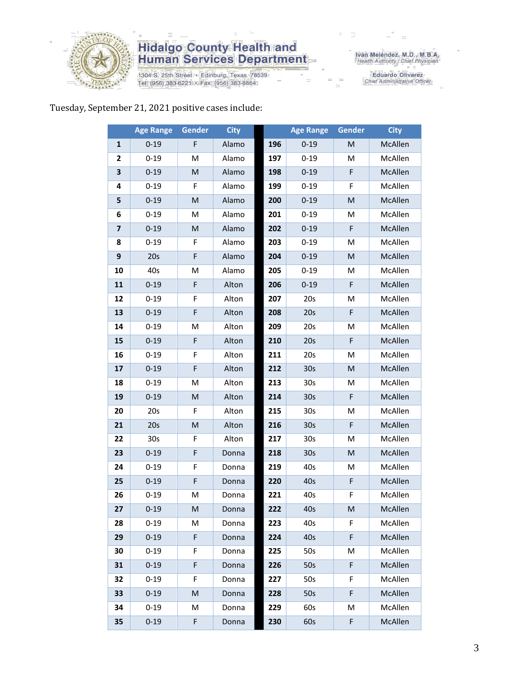

1304 S. 25th Street • Edinburg, Texas 78539<br>Tel: (956) 383-6221 • Fax: (956) 383-8864

Iván Meléndez, M.D., M.B.A.<br>Health Authority / Chief Physician

Eduardo Olivarez<br>Chief Administrative Officer

#### Tuesday, September 21, 2021 positive cases include:

|                | <b>Age Range</b> | Gender      | <b>City</b> |     | <b>Age Range</b> | Gender                                                                                                     | <b>City</b> |
|----------------|------------------|-------------|-------------|-----|------------------|------------------------------------------------------------------------------------------------------------|-------------|
| 1              | $0 - 19$         | F           | Alamo       | 196 | $0 - 19$         | M                                                                                                          | McAllen     |
| 2              | $0 - 19$         | M           | Alamo       | 197 | $0 - 19$         | M                                                                                                          | McAllen     |
| 3              | $0 - 19$         | M           | Alamo       | 198 | $0 - 19$         | F                                                                                                          | McAllen     |
| 4              | $0 - 19$         | F           | Alamo       | 199 | $0 - 19$         | F                                                                                                          | McAllen     |
| 5              | $0 - 19$         | M           | Alamo       | 200 | $0 - 19$         | M                                                                                                          | McAllen     |
| 6              | $0 - 19$         | M           | Alamo       | 201 | $0 - 19$         | M                                                                                                          | McAllen     |
| $\overline{7}$ | $0 - 19$         | M           | Alamo       | 202 | $0 - 19$         | F                                                                                                          | McAllen     |
| 8              | $0 - 19$         | F           | Alamo       | 203 | $0 - 19$         | M                                                                                                          | McAllen     |
| 9              | 20s              | F           | Alamo       | 204 | $0 - 19$         | ${\sf M}$                                                                                                  | McAllen     |
| 10             | 40s              | M           | Alamo       | 205 | $0 - 19$         | M                                                                                                          | McAllen     |
| 11             | $0 - 19$         | F           | Alton       | 206 | $0 - 19$         | F                                                                                                          | McAllen     |
| 12             | $0 - 19$         | F           | Alton       | 207 | 20s              | M                                                                                                          | McAllen     |
| 13             | $0 - 19$         | F           | Alton       | 208 | 20s              | F                                                                                                          | McAllen     |
| 14             | $0 - 19$         | M           | Alton       | 209 | 20s              | M                                                                                                          | McAllen     |
| 15             | $0 - 19$         | $\mathsf F$ | Alton       | 210 | 20s              | F                                                                                                          | McAllen     |
| 16             | $0 - 19$         | F           | Alton       | 211 | 20s              | M                                                                                                          | McAllen     |
| 17             | $0 - 19$         | F           | Alton       | 212 | 30s              | M                                                                                                          | McAllen     |
| 18             | $0 - 19$         | M           | Alton       | 213 | 30s              | M                                                                                                          | McAllen     |
| 19             | $0 - 19$         | ${\sf M}$   | Alton       | 214 | 30 <sub>s</sub>  | F                                                                                                          | McAllen     |
| 20             | 20s              | F           | Alton       | 215 | 30s              | M                                                                                                          | McAllen     |
| 21             | 20s              | M           | Alton       | 216 | 30 <sub>s</sub>  | F                                                                                                          | McAllen     |
| 22             | 30 <sub>s</sub>  | F           | Alton       | 217 | 30 <sub>s</sub>  | M                                                                                                          | McAllen     |
| 23             | $0 - 19$         | F           | Donna       | 218 | 30 <sub>s</sub>  | ${\sf M}$                                                                                                  | McAllen     |
| 24             | $0 - 19$         | F           | Donna       | 219 | 40s              | M                                                                                                          | McAllen     |
| 25             | $0 - 19$         | F           | Donna       | 220 | 40s              | F                                                                                                          | McAllen     |
| 26             | $0 - 19$         | M           | Donna       | 221 | 40s              | F                                                                                                          | McAllen     |
| 27             | $0 - 19$         | M           | Donna       | 222 | 40s              | $\mathsf{M}% _{T}=\mathsf{M}_{T}\!\left( a,b\right) ,\ \mathsf{M}_{T}=\mathsf{M}_{T}\!\left( a,b\right) ,$ | McAllen     |
| 28             | $0 - 19$         | M           | Donna       | 223 | 40s              | F                                                                                                          | McAllen     |
| 29             | $0 - 19$         | F           | Donna       | 224 | 40s              | F                                                                                                          | McAllen     |
| 30             | $0 - 19$         | F           | Donna       | 225 | 50s              | M                                                                                                          | McAllen     |
| 31             | $0 - 19$         | F           | Donna       | 226 | 50s              | F                                                                                                          | McAllen     |
| 32             | $0 - 19$         | F           | Donna       | 227 | 50s              | F                                                                                                          | McAllen     |
| 33             | $0 - 19$         | M           | Donna       | 228 | 50s              | F                                                                                                          | McAllen     |
| 34             | $0 - 19$         | M           | Donna       | 229 | 60s              | M                                                                                                          | McAllen     |
| 35             | $0 - 19$         | F           | Donna       | 230 | 60s              | F                                                                                                          | McAllen     |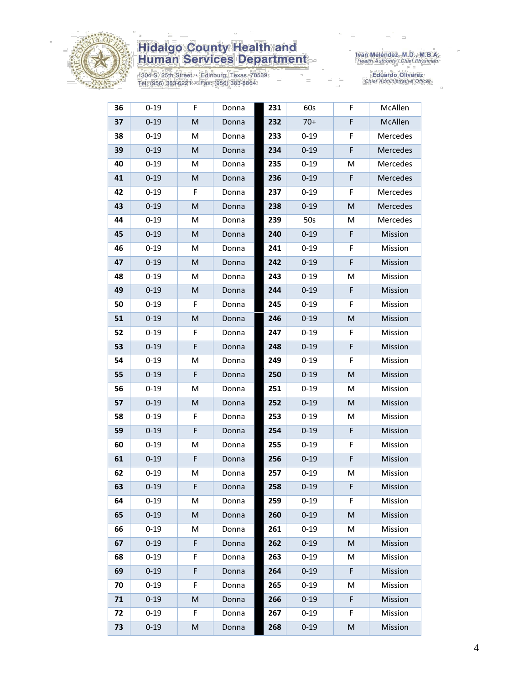

1304 S. 25th Street • Edinburg, Texas 78539<br>Tel: (956) 383-6221 • Fax: (956) 383-8864

Iván Meléndez, M.D., M.B.A.<br>Health Authority / Chief Physician

| 36 | $0 - 19$ | F.          | Donna | 231 | 60s      | F | McAllen  |
|----|----------|-------------|-------|-----|----------|---|----------|
| 37 | $0 - 19$ | M           | Donna | 232 | $70+$    | F | McAllen  |
| 38 | $0 - 19$ | М           | Donna | 233 | $0 - 19$ | F | Mercedes |
| 39 | $0 - 19$ | M           | Donna | 234 | $0 - 19$ | F | Mercedes |
| 40 | $0 - 19$ | Μ           | Donna | 235 | $0 - 19$ | Μ | Mercedes |
| 41 | $0 - 19$ | M           | Donna | 236 | $0 - 19$ | F | Mercedes |
| 42 | $0 - 19$ | F.          | Donna | 237 | $0 - 19$ | F | Mercedes |
| 43 | $0 - 19$ | M           | Donna | 238 | $0 - 19$ | M | Mercedes |
| 44 | $0 - 19$ | M           | Donna | 239 | 50s      | Μ | Mercedes |
| 45 | $0 - 19$ | M           | Donna | 240 | $0 - 19$ | F | Mission  |
| 46 | $0 - 19$ | M           | Donna | 241 | $0 - 19$ | F | Mission  |
| 47 | $0 - 19$ | M           | Donna | 242 | $0 - 19$ | F | Mission  |
| 48 | $0 - 19$ | М           | Donna | 243 | $0 - 19$ | Μ | Mission  |
| 49 | $0 - 19$ | M           | Donna | 244 | $0 - 19$ | F | Mission  |
| 50 | $0 - 19$ | F           | Donna | 245 | $0 - 19$ | F | Mission  |
| 51 | $0 - 19$ | M           | Donna | 246 | $0 - 19$ | M | Mission  |
| 52 | $0 - 19$ | F           | Donna | 247 | $0 - 19$ | F | Mission  |
| 53 | $0 - 19$ | F           | Donna | 248 | $0 - 19$ | F | Mission  |
| 54 | $0 - 19$ | М           | Donna | 249 | $0 - 19$ | F | Mission  |
| 55 | $0 - 19$ | $\mathsf F$ | Donna | 250 | $0 - 19$ | M | Mission  |
| 56 | $0 - 19$ | M           | Donna | 251 | $0 - 19$ | M | Mission  |
| 57 | $0 - 19$ | M           | Donna | 252 | $0 - 19$ | M | Mission  |
| 58 | $0 - 19$ | F           | Donna | 253 | $0 - 19$ | Μ | Mission  |
| 59 | $0 - 19$ | $\mathsf F$ | Donna | 254 | $0 - 19$ | F | Mission  |
| 60 | $0 - 19$ | М           | Donna | 255 | $0 - 19$ | F | Mission  |
| 61 | $0 - 19$ | F           | Donna | 256 | $0 - 19$ | F | Mission  |
| 62 | $0 - 19$ | Μ           | Donna | 257 | $0 - 19$ | М | Mission  |
| 63 | $0 - 19$ | F           | Donna | 258 | $0 - 19$ | F | Mission  |
| 64 | $0 - 19$ | М           | Donna | 259 | $0 - 19$ | F | Mission  |
| 65 | $0 - 19$ | M           | Donna | 260 | $0 - 19$ | M | Mission  |
| 66 | $0 - 19$ | М           | Donna | 261 | $0 - 19$ | M | Mission  |
| 67 | $0 - 19$ | F           | Donna | 262 | $0 - 19$ | M | Mission  |
| 68 | $0 - 19$ | F           | Donna | 263 | $0 - 19$ | M | Mission  |
| 69 | $0 - 19$ | F           | Donna | 264 | $0 - 19$ | F | Mission  |
| 70 | $0 - 19$ | F           | Donna | 265 | $0 - 19$ | Μ | Mission  |
| 71 | $0 - 19$ | M           | Donna | 266 | $0 - 19$ | F | Mission  |
| 72 | $0 - 19$ | F           | Donna | 267 | $0 - 19$ | F | Mission  |
| 73 | $0 - 19$ | M           | Donna | 268 | $0 - 19$ | M | Mission  |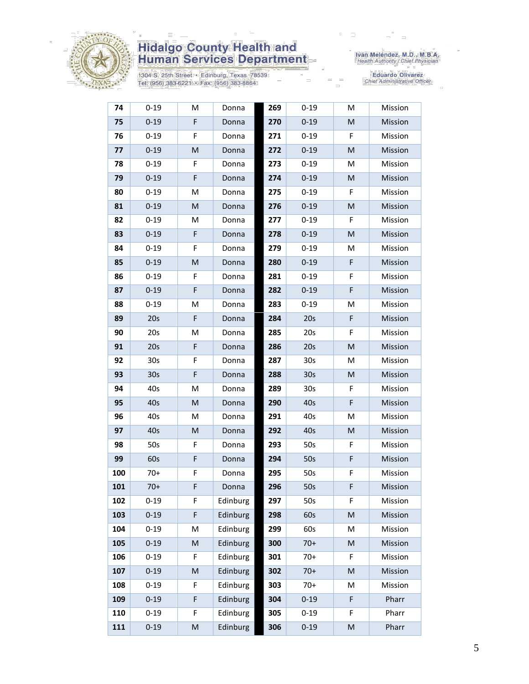

1304 S. 25th Street • Edinburg, Texas 78539<br>Tel: (956) 383-6221 • Fax: (956) 383-8864

Iván Meléndez, M.D., M.B.A.<br>Health Authority / Chief Physician

| 74  | $0 - 19$        | M         | Donna    | 269 | $0 - 19$        | M  | Mission |
|-----|-----------------|-----------|----------|-----|-----------------|----|---------|
| 75  | $0 - 19$        | F         | Donna    | 270 | $0 - 19$        | M  | Mission |
| 76  | $0 - 19$        | F         | Donna    | 271 | $0 - 19$        | F  | Mission |
| 77  | $0 - 19$        | ${\sf M}$ | Donna    | 272 | $0 - 19$        | M  | Mission |
| 78  | $0 - 19$        | F         | Donna    | 273 | $0 - 19$        | М  | Mission |
| 79  | $0 - 19$        | F         | Donna    | 274 | $0 - 19$        | M  | Mission |
| 80  | $0 - 19$        | M         | Donna    | 275 | $0 - 19$        | F  | Mission |
| 81  | $0 - 19$        | M         | Donna    | 276 | $0 - 19$        | M  | Mission |
| 82  | $0 - 19$        | M         | Donna    | 277 | $0 - 19$        | F  | Mission |
| 83  | $0 - 19$        | F         | Donna    | 278 | $0 - 19$        | M  | Mission |
| 84  | $0 - 19$        | F         | Donna    | 279 | $0 - 19$        | М  | Mission |
| 85  | $0 - 19$        | M         | Donna    | 280 | $0 - 19$        | F  | Mission |
| 86  | $0 - 19$        | F         | Donna    | 281 | $0 - 19$        | F  | Mission |
| 87  | $0 - 19$        | F         | Donna    | 282 | $0 - 19$        | F  | Mission |
| 88  | $0 - 19$        | M         | Donna    | 283 | $0 - 19$        | М  | Mission |
| 89  | 20s             | F         | Donna    | 284 | 20s             | F  | Mission |
| 90  | 20s             | M         | Donna    | 285 | 20s             | F  | Mission |
| 91  | 20s             | F         | Donna    | 286 | 20s             | M  | Mission |
| 92  | 30 <sub>s</sub> | F         | Donna    | 287 | 30s             | М  | Mission |
| 93  | 30 <sub>s</sub> | F         | Donna    | 288 | 30 <sub>s</sub> | M  | Mission |
| 94  | 40s             | M         | Donna    | 289 | 30 <sub>s</sub> | F  | Mission |
| 95  | 40s             | M         | Donna    | 290 | 40s             | F  | Mission |
| 96  | 40s             | M         | Donna    | 291 | 40s             | Μ  | Mission |
| 97  | 40s             | M         | Donna    | 292 | 40s             | M  | Mission |
| 98  | 50s             | F         | Donna    | 293 | 50s             | F  | Mission |
| 99  | 60s             | F         | Donna    | 294 | 50s             | F  | Mission |
| 100 | $70+$           | F         | Donna    | 295 | 50s             | F  | Mission |
| 101 | $70+$           | F         | Donna    | 296 | 50s             | F  | Mission |
| 102 | $0 - 19$        | F         | Edinburg | 297 | 50s             | F. | Mission |
| 103 | $0 - 19$        | F         | Edinburg | 298 | 60s             | M  | Mission |
| 104 | $0 - 19$        | M         | Edinburg | 299 | 60s             | M  | Mission |
| 105 | $0 - 19$        | M         | Edinburg | 300 | $70+$           | M  | Mission |
| 106 | $0 - 19$        | F         | Edinburg | 301 | $70+$           | F  | Mission |
| 107 | $0 - 19$        | ${\sf M}$ | Edinburg | 302 | $70+$           | M  | Mission |
| 108 | $0 - 19$        | F         | Edinburg | 303 | $70+$           | М  | Mission |
| 109 | $0 - 19$        | F         | Edinburg | 304 | $0 - 19$        | F  | Pharr   |
| 110 | $0 - 19$        | F         | Edinburg | 305 | $0 - 19$        | F  | Pharr   |
| 111 | $0 - 19$        | ${\sf M}$ | Edinburg | 306 | $0 - 19$        | M  | Pharr   |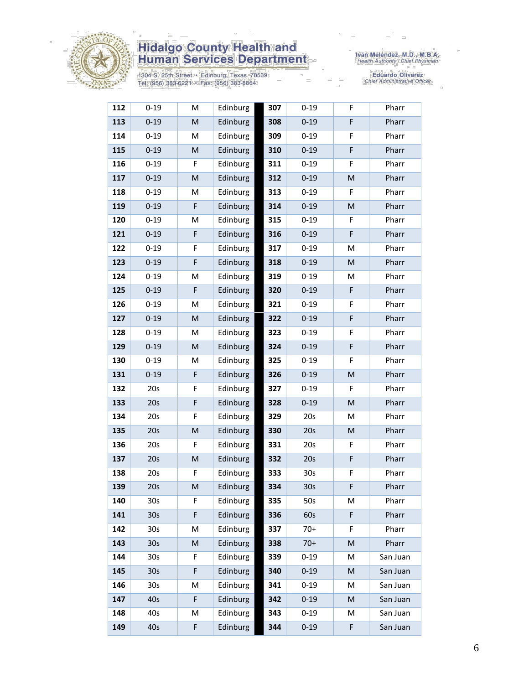

1304 S. 25th Street • Edinburg, Texas 78539<br>Tel: (956) 383-6221 • Fax: (956) 383-8864

Iván Meléndez, M.D., M.B.A.<br>Health Authority / Chief Physician

| 112 | $0 - 19$        | M  | Edinburg | 307 | $0 - 19$        | F.          | Pharr    |
|-----|-----------------|----|----------|-----|-----------------|-------------|----------|
| 113 | $0 - 19$        | M  | Edinburg | 308 | $0 - 19$        | F           | Pharr    |
| 114 | $0 - 19$        | M  | Edinburg | 309 | $0 - 19$        | F           | Pharr    |
| 115 | $0 - 19$        | M  | Edinburg | 310 | $0 - 19$        | F           | Pharr    |
| 116 | $0 - 19$        | F  | Edinburg | 311 | $0 - 19$        | F           | Pharr    |
| 117 | $0 - 19$        | M  | Edinburg | 312 | $0 - 19$        | M           | Pharr    |
| 118 | $0 - 19$        | M  | Edinburg | 313 | $0 - 19$        | F           | Pharr    |
| 119 | $0 - 19$        | F  | Edinburg | 314 | $0 - 19$        | M           | Pharr    |
| 120 | $0 - 19$        | М  | Edinburg | 315 | $0 - 19$        | F           | Pharr    |
| 121 | $0 - 19$        | F  | Edinburg | 316 | $0 - 19$        | F           | Pharr    |
| 122 | $0 - 19$        | F  | Edinburg | 317 | $0 - 19$        | М           | Pharr    |
| 123 | $0 - 19$        | F  | Edinburg | 318 | $0 - 19$        | M           | Pharr    |
| 124 | $0 - 19$        | M  | Edinburg | 319 | $0 - 19$        | M           | Pharr    |
| 125 | $0 - 19$        | F  | Edinburg | 320 | $0 - 19$        | $\mathsf F$ | Pharr    |
| 126 | $0 - 19$        | M  | Edinburg | 321 | $0 - 19$        | F           | Pharr    |
| 127 | $0 - 19$        | M  | Edinburg | 322 | $0 - 19$        | F           | Pharr    |
| 128 | $0 - 19$        | M  | Edinburg | 323 | $0 - 19$        | F           | Pharr    |
| 129 | $0 - 19$        | M  | Edinburg | 324 | $0 - 19$        | F           | Pharr    |
| 130 | $0 - 19$        | M  | Edinburg | 325 | $0 - 19$        | F           | Pharr    |
| 131 | $0 - 19$        | F  | Edinburg | 326 | $0 - 19$        | M           | Pharr    |
| 132 | 20s             | F  | Edinburg | 327 | $0 - 19$        | F           | Pharr    |
| 133 | 20s             | F  | Edinburg | 328 | $0 - 19$        | M           | Pharr    |
| 134 | 20s             | F  | Edinburg | 329 | 20s             | М           | Pharr    |
| 135 | 20s             | M  | Edinburg | 330 | 20s             | M           | Pharr    |
| 136 | 20s             | F  | Edinburg | 331 | 20s             | F           | Pharr    |
| 137 | 20s             | M  | Edinburg | 332 | 20s             | F           | Pharr    |
| 138 | 20s             | F  | Edinburg | 333 | 30s             | F           | Pharr    |
| 139 | 20s             | M  | Edinburg | 334 | 30 <sub>s</sub> | F           | Pharr    |
| 140 | 30s             | F. | Edinburg | 335 | 50s             | М           | Pharr    |
| 141 | 30 <sub>s</sub> | F  | Edinburg | 336 | 60s             | F           | Pharr    |
| 142 | 30s             | Μ  | Edinburg | 337 | $70+$           | F           | Pharr    |
| 143 | 30 <sub>s</sub> | M  | Edinburg | 338 | $70+$           | M           | Pharr    |
| 144 | 30s             | F  | Edinburg | 339 | $0 - 19$        | М           | San Juan |
| 145 | 30 <sub>s</sub> | F  | Edinburg | 340 | $0 - 19$        | M           | San Juan |
| 146 | 30s             | М  | Edinburg | 341 | $0 - 19$        | M           | San Juan |
| 147 | 40s             | F  | Edinburg | 342 | $0 - 19$        | M           | San Juan |
| 148 | 40s             | Μ  | Edinburg | 343 | $0 - 19$        | М           | San Juan |
| 149 | 40s             | F. | Edinburg | 344 | $0 - 19$        | F           | San Juan |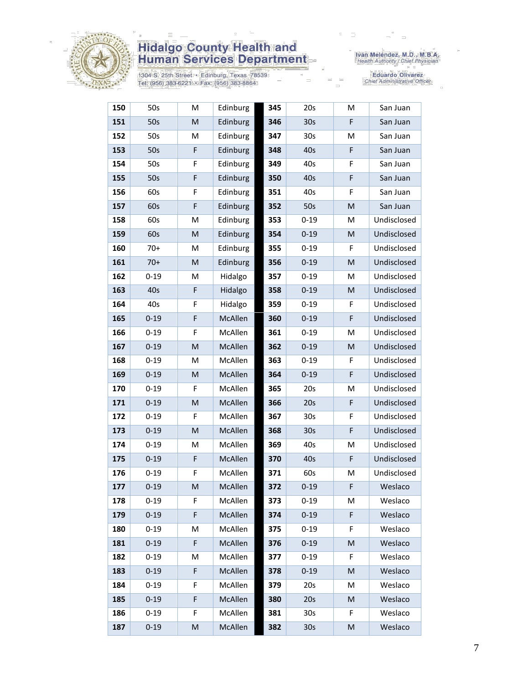

1304 S. 25th Street • Edinburg, Texas 78539<br>Tel: (956) 383-6221 • Fax: (956) 383-8864

Iván Meléndez, M.D., M.B.A.<br>Health Authority / Chief Physician

| 150 | 50s      | М  | Edinburg       | 345 | 20s             | M  | San Juan    |
|-----|----------|----|----------------|-----|-----------------|----|-------------|
| 151 | 50s      | M  | Edinburg       | 346 | 30 <sub>s</sub> | F  | San Juan    |
| 152 | 50s      | M  | Edinburg       | 347 | 30s             | M  | San Juan    |
| 153 | 50s      | F  | Edinburg       | 348 | 40s             | F  | San Juan    |
| 154 | 50s      | F  | Edinburg       | 349 | 40s             | F  | San Juan    |
| 155 | 50s      | F  | Edinburg       | 350 | 40s             | F  | San Juan    |
| 156 | 60s      | F  | Edinburg       | 351 | 40s             | F  | San Juan    |
| 157 | 60s      | F  | Edinburg       | 352 | 50s             | M  | San Juan    |
| 158 | 60s      | M  | Edinburg       | 353 | $0 - 19$        | M  | Undisclosed |
| 159 | 60s      | M  | Edinburg       | 354 | $0 - 19$        | M  | Undisclosed |
| 160 | $70+$    | M  | Edinburg       | 355 | $0 - 19$        | F  | Undisclosed |
| 161 | $70+$    | M  | Edinburg       | 356 | $0 - 19$        | M  | Undisclosed |
| 162 | $0 - 19$ | M  | Hidalgo        | 357 | $0 - 19$        | M  | Undisclosed |
| 163 | 40s      | F  | Hidalgo        | 358 | $0 - 19$        | M  | Undisclosed |
| 164 | 40s      | F  | Hidalgo        | 359 | $0 - 19$        | F  | Undisclosed |
| 165 | $0 - 19$ | F  | McAllen        | 360 | $0 - 19$        | F  | Undisclosed |
| 166 | $0 - 19$ | F  | McAllen        | 361 | $0 - 19$        | M  | Undisclosed |
| 167 | $0 - 19$ | M  | McAllen        | 362 | $0 - 19$        | M  | Undisclosed |
| 168 | $0 - 19$ | M  | McAllen        | 363 | $0 - 19$        | F  | Undisclosed |
| 169 | $0 - 19$ | M  | McAllen        | 364 | $0 - 19$        | F  | Undisclosed |
| 170 | $0 - 19$ | F  | McAllen        | 365 | 20s             | Μ  | Undisclosed |
| 171 | $0 - 19$ | M  | McAllen        | 366 | 20s             | F  | Undisclosed |
| 172 | $0 - 19$ | F  | McAllen        | 367 | 30 <sub>s</sub> | F  | Undisclosed |
| 173 | $0 - 19$ | M  | McAllen        | 368 | 30 <sub>s</sub> | F  | Undisclosed |
| 174 | $0 - 19$ | M  | McAllen        | 369 | 40s             | M  | Undisclosed |
| 175 | $0 - 19$ | F  | McAllen        | 370 | 40s             | F  | Undisclosed |
| 176 | $0 - 19$ | F  | McAllen        | 371 | 60s             | М  | Undisclosed |
| 177 | $0 - 19$ | M  | <b>McAllen</b> | 372 | $0 - 19$        | F  | Weslaco     |
| 178 | $0 - 19$ | F. | McAllen        | 373 | $0 - 19$        | M  | Weslaco     |
| 179 | $0 - 19$ | F  | McAllen        | 374 | $0 - 19$        | F  | Weslaco     |
| 180 | $0 - 19$ | Μ  | McAllen        | 375 | $0 - 19$        | F  | Weslaco     |
| 181 | $0 - 19$ | F  | McAllen        | 376 | $0 - 19$        | M  | Weslaco     |
| 182 | $0 - 19$ | M  | McAllen        | 377 | $0 - 19$        | F  | Weslaco     |
| 183 | $0 - 19$ | F  | McAllen        | 378 | $0 - 19$        | M  | Weslaco     |
| 184 | $0 - 19$ | F  | McAllen        | 379 | 20s             | М  | Weslaco     |
| 185 | $0 - 19$ | F  | McAllen        | 380 | 20s             | M  | Weslaco     |
| 186 | $0 - 19$ | F  | McAllen        | 381 | 30 <sub>s</sub> | F. | Weslaco     |
| 187 | $0 - 19$ | M  | McAllen        | 382 | 30s             | M  | Weslaco     |